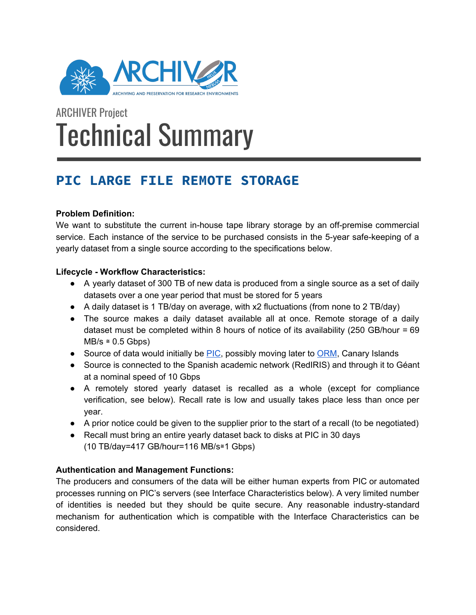

# ARCHIVER Project Technical Summary

# **PIC LARGE FILE REMOTE STORAGE**

### **Problem Definition:**

We want to substitute the current in-house tape library storage by an off-premise commercial service. Each instance of the service to be purchased consists in the 5-year safe-keeping of a yearly dataset from a single source according to the specifications below.

#### **Lifecycle - Workflow Characteristics:**

- A yearly dataset of 300 TB of new data is produced from a single source as a set of daily datasets over a one year period that must be stored for 5 years
- A daily dataset is 1 TB/day on average, with x2 fluctuations (from none to 2 TB/day)
- The source makes a daily dataset available all at once. Remote storage of a daily dataset must be completed within 8 hours of notice of its availability  $(250 \text{ GB/hour} = 69$  $MB/s \approx 0.5$  Gbps)
- Source of data would initially be **PIC**, possibly moving later to **ORM**, Canary Islands
- Source is connected to the Spanish academic network (RedIRIS) and through it to Géant at a nominal speed of 10 Gbps
- A remotely stored yearly dataset is recalled as a whole (except for compliance verification, see below). Recall rate is low and usually takes place less than once per year.
- A prior notice could be given to the supplier prior to the start of a recall (to be negotiated)
- Recall must bring an entire yearly dataset back to disks at PIC in 30 days (10 TB/day=417 GB/hour=116 MB/s≅1 Gbps)

# **Authentication and Management Functions:**

The producers and consumers of the data will be either human experts from PIC or automated processes running on PIC's servers (see Interface Characteristics below). A very limited number of identities is needed but they should be quite secure. Any reasonable industry-standard mechanism for authentication which is compatible with the Interface Characteristics can be considered.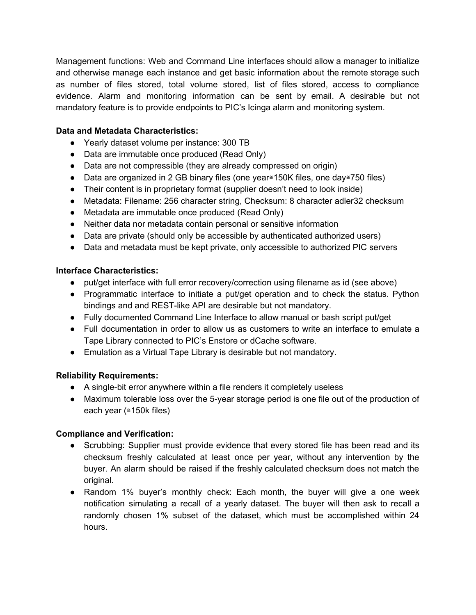Management functions: Web and Command Line interfaces should allow a manager to initialize and otherwise manage each instance and get basic information about the remote storage such as number of files stored, total volume stored, list of files stored, access to compliance evidence. Alarm and monitoring information can be sent by email. A desirable but not mandatory feature is to provide endpoints to PIC's Icinga alarm and monitoring system.

#### **Data and Metadata Characteristics:**

- Yearly dataset volume per instance: 300 TB
- Data are immutable once produced (Read Only)
- Data are not compressible (they are already compressed on origin)
- Data are organized in 2 GB binary files (one year≅150K files, one day≅750 files)
- Their content is in proprietary format (supplier doesn't need to look inside)
- Metadata: Filename: 256 character string, Checksum: 8 character adler32 checksum
- Metadata are immutable once produced (Read Only)
- Neither data nor metadata contain personal or sensitive information
- Data are private (should only be accessible by authenticated authorized users)
- Data and metadata must be kept private, only accessible to authorized PIC servers

#### **Interface Characteristics:**

- put/get interface with full error recovery/correction using filename as id (see above)
- Programmatic interface to initiate a put/get operation and to check the status. Python bindings and and REST-like API are desirable but not mandatory.
- Fully documented Command Line Interface to allow manual or bash script put/get
- Full documentation in order to allow us as customers to write an interface to emulate a Tape Library connected to PIC's Enstore or dCache software.
- Emulation as a Virtual Tape Library is desirable but not mandatory.

#### **Reliability Requirements:**

- A single-bit error anywhere within a file renders it completely useless
- Maximum tolerable loss over the 5-year storage period is one file out of the production of each year (≅150k files)

#### **Compliance and Verification:**

- Scrubbing: Supplier must provide evidence that every stored file has been read and its checksum freshly calculated at least once per year, without any intervention by the buyer. An alarm should be raised if the freshly calculated checksum does not match the original.
- Random 1% buyer's monthly check: Each month, the buyer will give a one week notification simulating a recall of a yearly dataset. The buyer will then ask to recall a randomly chosen 1% subset of the dataset, which must be accomplished within 24 hours.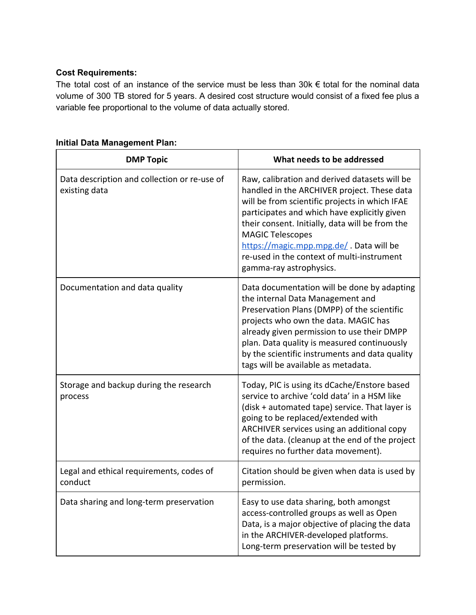#### **Cost Requirements:**

The total cost of an instance of the service must be less than  $30k \in$  total for the nominal data volume of 300 TB stored for 5 years. A desired cost structure would consist of a fixed fee plus a variable fee proportional to the volume of data actually stored.

| <b>DMP Topic</b>                                              | What needs to be addressed                                                                                                                                                                                                                                                                                                                                                                       |
|---------------------------------------------------------------|--------------------------------------------------------------------------------------------------------------------------------------------------------------------------------------------------------------------------------------------------------------------------------------------------------------------------------------------------------------------------------------------------|
| Data description and collection or re-use of<br>existing data | Raw, calibration and derived datasets will be<br>handled in the ARCHIVER project. These data<br>will be from scientific projects in which IFAE<br>participates and which have explicitly given<br>their consent. Initially, data will be from the<br><b>MAGIC Telescopes</b><br>https://magic.mpp.mpg.de/. Data will be<br>re-used in the context of multi-instrument<br>gamma-ray astrophysics. |
| Documentation and data quality                                | Data documentation will be done by adapting<br>the internal Data Management and<br>Preservation Plans (DMPP) of the scientific<br>projects who own the data. MAGIC has<br>already given permission to use their DMPP<br>plan. Data quality is measured continuously<br>by the scientific instruments and data quality<br>tags will be available as metadata.                                     |
| Storage and backup during the research<br>process             | Today, PIC is using its dCache/Enstore based<br>service to archive 'cold data' in a HSM like<br>(disk + automated tape) service. That layer is<br>going to be replaced/extended with<br>ARCHIVER services using an additional copy<br>of the data. (cleanup at the end of the project<br>requires no further data movement).                                                                     |
| Legal and ethical requirements, codes of<br>conduct           | Citation should be given when data is used by<br>permission.                                                                                                                                                                                                                                                                                                                                     |
| Data sharing and long-term preservation                       | Easy to use data sharing, both amongst<br>access-controlled groups as well as Open<br>Data, is a major objective of placing the data<br>in the ARCHIVER-developed platforms.<br>Long-term preservation will be tested by                                                                                                                                                                         |

# **Initial Data Management Plan:**